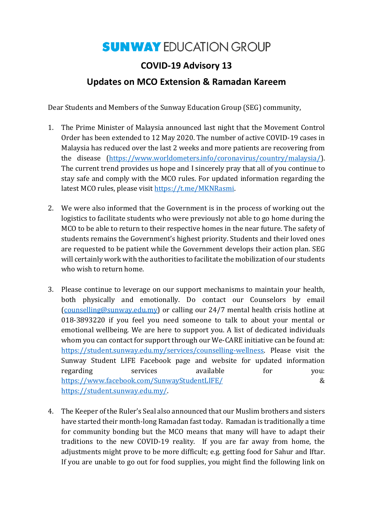## **SUNWAY EDUCATION GROUP**

## **COVID-19 Advisory 13**

## **Updates on MCO Extension & Ramadan Kareem**

Dear Students and Members of the Sunway Education Group (SEG) community,

- 1. The Prime Minister of Malaysia announced last night that the Movement Control Order has been extended to 12 May 2020. The number of active COVID-19 cases in Malaysia has reduced over the last 2 weeks and more patients are recovering from the disease [\(https://www.worldometers.info/coronavirus/country/malaysia/\)](https://www.worldometers.info/coronavirus/country/malaysia/). The current trend provides us hope and I sincerely pray that all of you continue to stay safe and comply with the MCO rules. For updated information regarding the latest MCO rules, please visi[t https://t.me/MKNRasmi.](https://t.me/MKNRasmi)
- 2. We were also informed that the Government is in the process of working out the logistics to facilitate students who were previously not able to go home during the MCO to be able to return to their respective homes in the near future. The safety of students remains the Government's highest priority. Students and their loved ones are requested to be patient while the Government develops their action plan. SEG will certainly work with the authorities to facilitate the mobilization of our students who wish to return home.
- 3. Please continue to leverage on our support mechanisms to maintain your health, both physically and emotionally. Do contact our Counselors by email [\(counselling@sunway.edu.my\)](mailto:counselling@sunway.edu.my) or calling our 24/7 mental health crisis hotline at 018-3893220 if you feel you need someone to talk to about your mental or emotional wellbeing. We are here to support you. A list of dedicated individuals whom you can contact for support through our We-CARE initiative can be found at: [https://student.sunway.edu.my/services/counselling-wellness.](https://student.sunway.edu.my/services/counselling-wellness) Please visit the Sunway Student LIFE Facebook page and website for updated information regarding services available for you: <https://www.facebook.com/SunwayStudentLIFE/> & [https://student.sunway.edu.my/.](https://student.sunway.edu.my/)
- 4. The Keeper of the Ruler's Seal also announced that our Muslim brothers and sisters have started their month-long Ramadan fast today. Ramadan is traditionally a time for community bonding but the MCO means that many will have to adapt their traditions to the new COVID-19 reality. If you are far away from home, the adjustments might prove to be more difficult; e.g. getting food for Sahur and Iftar. If you are unable to go out for food supplies, you might find the following link on